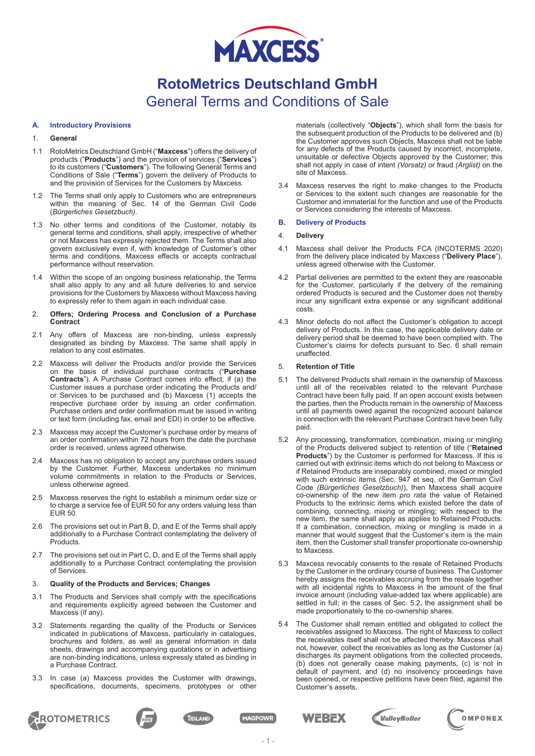

# **RotoMetrics Deutschland GmbH** General Terms and Conditions of Sale

# **A. Introductory Provisions**

## 1. **General**

- 1.1 RotoMetrics Deutschland GmbH ("**Maxcess**") offers the delivery of products ("**Products**") and the provision of services ("**Services**") to its customers ("**Customers**"). The following General Terms and Conditions of Sale ("**Terms**") govern the delivery of Products to and the provision of Services for the Customers by Maxcess.
- 1.2 The Terms shall only apply to Customers who are entrepreneurs within the meaning of Sec. 14 of the German Civil Code (*Bürgerliches Gesetzbuch)*.
- 1.3 No other terms and conditions of the Customer, notably its general terms and conditions, shall apply, irrespective of whether or not Maxcess has expressly rejected them. The Terms shall also govern exclusively even if, with knowledge of Customer's other terms and conditions, Maxcess effects or accepts contractual performance without reservation.
- 1.4 Within the scope of an ongoing business relationship, the Terms shall also apply to any and all future deliveries to and service provisions for the Customers by Maxcess without Maxcess having to expressly refer to them again in each individual case.
- 2. **Offers; Ordering Process and Conclusion of a Purchase Contract**
- 2.1 Any offers of Maxcess are non-binding, unless expressly designated as binding by Maxcess. The same shall apply in relation to any cost estimates.
- 2.2 Maxcess will deliver the Products and/or provide the Services on the basis of individual purchase contracts ("**Purchase Contracts**"). A Purchase Contract comes into effect, if (a) the Customer issues a purchase order indicating the Products and/ or Services to be purchased and (b) Maxcess (1) accepts the respective purchase order by issuing an order confirmation. Purchase orders and order confirmation must be issued in writing or text form (including fax, email and EDI) in order to be effective.
- 2.3 Maxcess may accept the Customer's purchase order by means of an order confirmation within 72 hours from the date the purchase order is received, unless agreed otherwise.
- 2.4 Maxcess has no obligation to accept any purchase orders issued by the Customer. Further, Maxcess undertakes no minimum volume commitments in relation to the Products or Services, unless otherwise agreed.
- 2.5 Maxcess reserves the right to establish a minimum order size or to charge a service fee of EUR 50 for any orders valuing less than EUR 50.
- The provisions set out in Part B, D, and E of the Terms shall apply additionally to a Purchase Contract contemplating the delivery of Products.
- 2.7 The provisions set out in Part C, D, and E of the Terms shall apply additionally to a Purchase Contract contemplating the provision of Services.

## 3. **Quality of the Products and Services; Changes**

- 3.1 The Products and Services shall comply with the specifications and requirements explicitly agreed between the Customer and Maxcess (if any).
- 3.2 Statements regarding the quality of the Products or Services indicated in publications of Maxcess, particularly in catalogues, brochures and folders, as well as general information in data sheets, drawings and accompanying quotations or in advertising are non-binding indications, unless expressly stated as binding in a Purchase Contract.
- 3.3 In case (a) Maxcess provides the Customer with drawings, specifications, documents, specimens, prototypes or other

materials (collectively "**Objects**"), which shall form the basis for the subsequent production of the Products to be delivered and (b) the Customer approves such Objects, Maxcess shall not be liable for any defects of the Products caused by incorrect, incomplete, unsuitable or defective Objects approved by the Customer; this shall not apply in case of intent *(Vorsatz)* or fraud *(Arglist)* on the site of Maxcess.

3.4 Maxcess reserves the right to make changes to the Products or Services to the extent such changes are reasonable for the Customer and immaterial for the function and use of the Products or Services considering the interests of Maxcess.

# **B. Delivery of Products**

# 4. **Delivery**

- 4.1 Maxcess shall deliver the Products FCA (INCOTERMS 2020) from the delivery place indicated by Maxcess ("**Delivery Place**"), unless agreed otherwise with the Customer.
- 4.2 Partial deliveries are permitted to the extent they are reasonable for the Customer, particularly if the delivery of the remaining ordered Products is secured and the Customer does not thereby incur any significant extra expense or any significant additional costs.
- 4.3 Minor defects do not affect the Customer's obligation to accept delivery of Products. In this case, the applicable delivery date or delivery period shall be deemed to have been complied with. The Customer's claims for defects pursuant to Sec. 6 shall remain unaffected.

# 5. **Retention of Title**

- 5.1 The delivered Products shall remain in the ownership of Maxcess until all of the receivables related to the relevant Purchase Contract have been fully paid. If an open account exists between the parties, then the Products remain in the ownership of Maxcess until all payments owed against the recognized account balance in connection with the relevant Purchase Contract have been fully paid.
- 5.2 Any processing, transformation, combination, mixing or mingling of the Products delivered subject to retention of title ("**Retained Products**") by the Customer is performed for Maxcess. If this is carried out with extrinsic items which do not belong to Maxcess or if Retained Products are inseparably combined, mixed or mingled with such extrinsic items (Sec. 947 et seq. of the German Civil Code *(Bürgerliches Gesetzbuch)*), then Maxcess shall acquire co-ownership of the new item *pro rata* the value of Retained Products to the extrinsic items which existed before the date of combining, connecting, mixing or mingling; with respect to the new item, the same shall apply as applies to Retained Products. If a combination, connection, mixing or mingling is made in a manner that would suggest that the Customer's item is the main item, then the Customer shall transfer proportionate co-ownership to Maxcess.
- 5.3 Maxcess revocably consents to the resale of Retained Products by the Customer in the ordinary course of business. The Customer hereby assigns the receivables accruing from the resale together with all incidental rights to Maxcess in the amount of the final invoice amount (including value-added tax where applicable) are settled in full; in the cases of Sec. 5.2, the assignment shall be made proportionately to the co-ownership shares.
- 5.4 The Customer shall remain entitled and obligated to collect the receivables assigned to Maxcess. The right of Maxcess to collect the receivables itself shall not be affected thereby. Maxcess shall not, however, collect the receivables as long as the Customer (a) discharges its payment obligations from the collected proceeds, (b) does not generally cease making payments, (c) is not in default of payment, and (d) no insolvency proceedings have been opened, or respective petitions have been filed, against the Customer's assets.









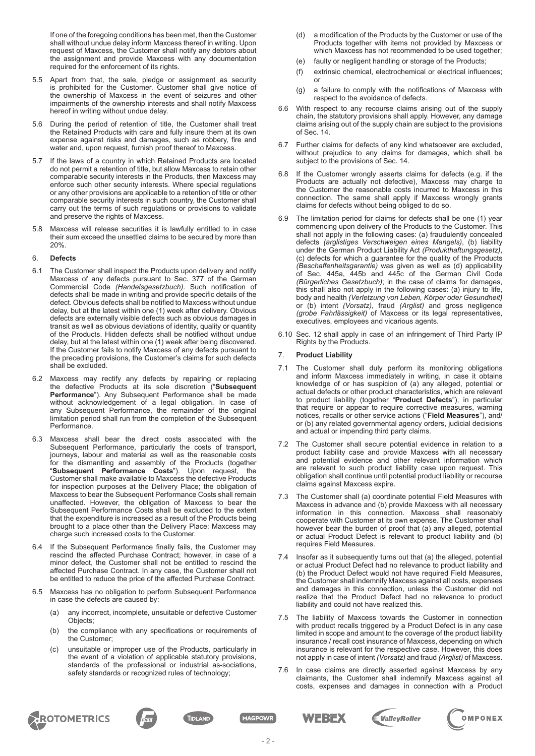If one of the foregoing conditions has been met, then the Customer shall without undue delay inform Maxcess thereof in writing. Upon request of Maxcess, the Customer shall notify any debtors about the assignment and provide Maxcess with any documentation required for the enforcement of its rights.

- 5.5 Apart from that, the sale, pledge or assignment as security is prohibited for the Customer. Customer shall give notice of the ownership of Maxcess in the event of seizures and other impairments of the ownership interests and shall notify Maxcess hereof in writing without undue delay.
- 5.6 During the period of retention of title, the Customer shall treat the Retained Products with care and fully insure them at its own expense against risks and damages, such as robbery, fire and water and, upon request, furnish proof thereof to Maxcess.
- 5.7 If the laws of a country in which Retained Products are located do not permit a retention of title, but allow Maxcess to retain other comparable security interests in the Products, then Maxcess may enforce such other security interests. Where special regulations or any other provisions are applicable to a retention of title or other comparable security interests in such country, the Customer shall carry out the terms of such regulations or provisions to validate and preserve the rights of Maxcess.
- Maxcess will release securities it is lawfully entitled to in case their sum exceed the unsettled claims to be secured by more than 20%.

# 6. **Defects**

- 6.1 The Customer shall inspect the Products upon delivery and notify Maxcess of any defects pursuant to Sec. 377 of the German Commercial Code *(Handelsgesetzbuch)*. Such notification of defects shall be made in writing and provide specific details of the defect. Obvious defects shall be notified to Maxcess without undue delay, but at the latest within one (1) week after delivery. Obvious defects are externally visible defects such as obvious damages in transit as well as obvious deviations of identity, quality or quantity of the Products. Hidden defects shall be notified without undue delay, but at the latest within one (1) week after being discovered. If the Customer fails to notify Maxcess of any defects pursuant to the preceding provisions, the Customer's claims for such defects shall be excluded.
- 6.2 Maxcess may rectify any defects by repairing or replacing the defective Products at its sole discretion ("**Subsequent Performance**"). Any Subsequent Performance shall be made without acknowledgement of a legal obligation. In case of any Subsequent Performance, the remainder of the original limitation period shall run from the completion of the Subsequent Performance.
- 6.3 Maxcess shall bear the direct costs associated with the Subsequent Performance, particularly the costs of transport, journeys, labour and material as well as the reasonable costs for the dismantling and assembly of the Products (together "**Subsequent Performance Costs**"). Upon request, the Customer shall make available to Maxcess the defective Products for inspection purposes at the Delivery Place; the obligation of Maxcess to bear the Subsequent Performance Costs shall remain unaffected. However, the obligation of Maxcess to bear the Subsequent Performance Costs shall be excluded to the extent that the expenditure is increased as a result of the Products being brought to a place other than the Delivery Place; Maxcess may charge such increased costs to the Customer.
- 6.4 If the Subsequent Performance finally fails, the Customer may rescind the affected Purchase Contract; however, in case of a minor defect, the Customer shall not be entitled to rescind the affected Purchase Contract. In any case, the Customer shall not be entitled to reduce the price of the affected Purchase Contract.
- Maxcess has no obligation to perform Subsequent Performance in case the defects are caused by:
	- (a) any incorrect, incomplete, unsuitable or defective Customer Objects;
	- (b) the compliance with any specifications or requirements of the Customer;
	- (c) unsuitable or improper use of the Products, particularly in the event of a violation of applicable statutory provisions, standards of the professional or industrial as-sociations, safety standards or recognized rules of technology;
- (d) a modification of the Products by the Customer or use of the Products together with items not provided by Maxcess or which Maxcess has not recommended to be used together:
- (e) faulty or negligent handling or storage of the Products;
- (f) extrinsic chemical, electrochemical or electrical influences; or
- (g) a failure to comply with the notifications of Maxcess with respect to the avoidance of defects.
- 6.6 With respect to any recourse claims arising out of the supply chain, the statutory provisions shall apply. However, any damage claims arising out of the supply chain are subject to the provisions of Sec. 14.
- 6.7 Further claims for defects of any kind whatsoever are excluded, without prejudice to any claims for damages, which shall be subject to the provisions of Sec. 14.
- 6.8 If the Customer wrongly asserts claims for defects (e.g. if the Products are actually not defective), Maxcess may charge to the Customer the reasonable costs incurred to Maxcess in this connection. The same shall apply if Maxcess wrongly grants claims for defects without being obliged to do so.
- 6.9 The limitation period for claims for defects shall be one (1) year commencing upon delivery of the Products to the Customer. This shall not apply in the following cases: (a) fraudulently concealed defects *(arglistiges Verschweigen eines Mangels)*, (b) liability under the German Product Liability Act *(Produkthaftungsgesetz)*, (c) defects for which a guarantee for the quality of the Products *(Beschaffenheitsgarantie)* was given as well as (d) applicability of Sec. 445a, 445b and 445c of the German Civil Code *(Bürgerliches Gesetzbuch)*; in the case of claims for damages, this shall also not apply in the following cases: (a) injury to life, body and health *(Verletzung von Leben, Körper oder Gesundheit)* or (b) intent *(Vorsatz)*, fraud *(Arglist)* and gross negligence *(grobe Fahrlässigkeit)* of Maxcess or its legal representatives, executives, employees and vicarious agents.
- 6.10 Sec. 12 shall apply in case of an infringement of Third Party IP Rights by the Products.

# 7. **Product Liability**

- 7.1 The Customer shall duly perform its monitoring obligations and inform Maxcess immediately in writing, in case it obtains knowledge of or has suspicion of (a) any alleged, potential or actual defects or other product characteristics, which are relevant to product liability (together "**Product Defects**"), in particular that require or appear to require corrective measures, warning notices, recalls or other service actions ("**Field Measures**"), and/ or (b) any related governmental agency orders, judicial decisions and actual or impending third party claims.
- 7.2 The Customer shall secure potential evidence in relation to a product liability case and provide Maxcess with all necessary and potential evidence and other relevant information which are relevant to such product liability case upon request. This obligation shall continue until potential product liability or recourse claims against Maxcess expire.
- 7.3 The Customer shall (a) coordinate potential Field Measures with Maxcess in advance and (b) provide Maxcess with all necessary information in this connection. Maxcess shall reasonably cooperate with Customer at its own expense. The Customer shall however bear the burden of proof that (a) any alleged, potential or actual Product Defect is relevant to product liability and (b) requires Field Measures.
- 7.4 Insofar as it subsequently turns out that (a) the alleged, potential or actual Product Defect had no relevance to product liability and (b) the Product Defect would not have required Field Measures, the Customer shall indemnify Maxcess against all costs, expenses and damages in this connection, unless the Customer did not realize that the Product Defect had no relevance to product liability and could not have realized this.
- 7.5 The liability of Maxcess towards the Customer in connection with product recalls triggered by a Product Defect is in any case limited in scope and amount to the coverage of the product liability insurance / recall cost insurance of Maxcess, depending on which insurance is relevant for the respective case. However, this does not apply in case of intent *(Vorsatz)* and fraud *(Arglist)* of Maxcess.
- 7.6 In case claims are directly asserted against Maxcess by any claimants, the Customer shall indemnify Maxcess against all costs, expenses and damages in connection with a Product









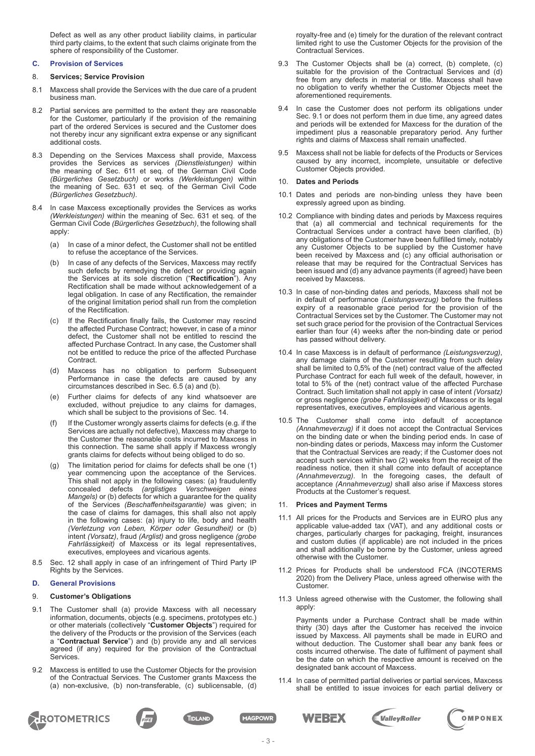Defect as well as any other product liability claims, in particular third party claims, to the extent that such claims originate from the sphere of responsibility of the Customer.

#### **C. Provision of Services**

#### 8. **Services; Service Provision**

- 8.1 Maxcess shall provide the Services with the due care of a prudent business man.
- 8.2 Partial services are permitted to the extent they are reasonable for the Customer, particularly if the provision of the remaining part of the ordered Services is secured and the Customer does not thereby incur any significant extra expense or any significant additional costs.
- 8.3 Depending on the Services Maxcess shall provide, Maxcess provides the Services as services *(Dienstleistungen)* within the meaning of Sec. 611 et seq. of the German Civil Code *(Bürgerliches Gesetzbuch)* or works *(Werkleistungen)* within the meaning of Sec. 631 et seq. of the German Civil Code *(Bürgerliches Gesetzbuch)*.
- 8.4 In case Maxcess exceptionally provides the Services as works *(Werkleistungen)* within the meaning of Sec. 631 et seq. of the German Civil Code *(Bürgerliches Gesetzbuch)*, the following shall apply:
	- (a) In case of a minor defect, the Customer shall not be entitled to refuse the acceptance of the Services.
	- (b) In case of any defects of the Services, Maxcess may rectify such defects by remedying the defect or providing again the Services at its sole discretion ("**Rectification**"). Any Rectification shall be made without acknowledgement of a legal obligation. In case of any Rectification, the remainder of the original limitation period shall run from the completion of the Rectification.
	- (c) If the Rectification finally fails, the Customer may rescind the affected Purchase Contract; however, in case of a minor defect, the Customer shall not be entitled to rescind the affected Purchase Contract. In any case, the Customer shall not be entitled to reduce the price of the affected Purchase Contract.
	- (d) Maxcess has no obligation to perform Subsequent Performance in case the defects are caused by any circumstances described in Sec. 6.5 (a) and (b).
	- (e) Further claims for defects of any kind whatsoever are excluded, without prejudice to any claims for damages, which shall be subject to the provisions of Sec. 14.
	- (f) If the Customer wrongly asserts claims for defects (e.g. if the Services are actually not defective), Maxcess may charge to the Customer the reasonable costs incurred to Maxcess in this connection. The same shall apply if Maxcess wrongly grants claims for defects without being obliged to do so.
	- The limitation period for claims for defects shall be one (1) year commencing upon the acceptance of the Services. This shall not apply in the following cases: (a) fraudulently concealed defects *(arglistiges Verschweigen eines Mangels)* or (b) defects for which a guarantee for the quality of the Services *(Beschaffenheitsgarantie)* was given; in the case of claims for damages, this shall also not apply in the following cases: (a) injury to life, body and health *(Verletzung von Leben, Körper oder Gesundheit)* or (b) intent *(Vorsatz)*, fraud *(Arglist)* and gross negligence *(grobe Fahrlässigkeit)* of Maxcess or its legal representatives, executives, employees and vicarious agents.
- 8.5 Sec. 12 shall apply in case of an infringement of Third Party IP Rights by the Services.

## **D. General Provisions**

## 9. **Customer's Obligations**

- 9.1 The Customer shall (a) provide Maxcess with all necessary information, documents, objects (e.g. specimens, prototypes etc.) or other materials (collectively "**Customer Objects**") required for the delivery of the Products or the provision of the Services (each a "**Contractual Service**") and (b) provide any and all services agreed (if any) required for the provision of the Contractual Services.
- 9.2 Maxcess is entitled to use the Customer Objects for the provision of the Contractual Services. The Customer grants Maxcess the (a) non-exclusive, (b) non-transferable, (c) sublicensable, (d)

royalty-free and (e) timely for the duration of the relevant contract limited right to use the Customer Objects for the provision of the Contractual Services.

- 9.3 The Customer Objects shall be (a) correct, (b) complete, (c) suitable for the provision of the Contractual Services and (d) free from any defects in material or title. Maxcess shall have no obligation to verify whether the Customer Objects meet the aforementioned requirements.
- 9.4 In case the Customer does not perform its obligations under Sec. 9.1 or does not perform them in due time, any agreed dates and periods will be extended for Maxcess for the duration of the impediment plus a reasonable preparatory period. Any further rights and claims of Maxcess shall remain unaffected.
- 9.5 Maxcess shall not be liable for defects of the Products or Services caused by any incorrect, incomplete, unsuitable or defective Customer Objects provided.

#### 10. **Dates and Periods**

- 10.1 Dates and periods are non-binding unless they have been expressly agreed upon as binding.
- 10.2 Compliance with binding dates and periods by Maxcess requires that (a) all commercial and technical requirements for the Contractual Services under a contract have been clarified, (b) any obligations of the Customer have been fulfilled timely, notably any Customer Objects to be supplied by the Customer have been received by Maxcess and (c) any official authorisation or release that may be required for the Contractual Services has been issued and (d) any advance payments (if agreed) have been received by Maxcess.
- 10.3 In case of non-binding dates and periods, Maxcess shall not be in default of performance *(Leistungsverzug)* before the fruitless expiry of a reasonable grace period for the provision of the Contractual Services set by the Customer. The Customer may not set such grace period for the provision of the Contractual Services earlier than four (4) weeks after the non-binding date or period has passed without delivery.
- 10.4 In case Maxcess is in default of performance *(Leistungsverzug)*, any damage claims of the Customer resulting from such delay shall be limited to 0,5% of the (net) contract value of the affected Purchase Contract for each full week of the default, however, in total to 5% of the (net) contract value of the affected Purchase Contract. Such limitation shall not apply in case of intent *(Vorsatz)* or gross negligence *(grobe Fahrlässigkeit)* of Maxcess or its legal representatives, executives, employees and vicarious agents.
- 10.5 The Customer shall come into default of acceptance *(Annahmeverzug)* if it does not accept the Contractual Services on the binding date or when the binding period ends. In case of non-binding dates or periods, Maxcess may inform the Customer that the Contractual Services are ready; if the Customer does not accept such services within two (2) weeks from the receipt of the readiness notice, then it shall come into default of acceptance *(Annahmeverzug)*. In the foregoing cases, the default of acceptance *(Annahmeverzug)* shall also arise if Maxcess stores Products at the Customer's request.

#### 11. **Prices and Payment Terms**

- 11.1 All prices for the Products and Services are in EURO plus any applicable value-added tax (VAT), and any additional costs or charges, particularly charges for packaging, freight, insurances and custom duties (if applicable) are not included in the prices and shall additionally be borne by the Customer, unless agreed otherwise with the Customer.
- 11.2 Prices for Products shall be understood FCA (INCOTERMS 2020) from the Delivery Place, unless agreed otherwise with the Customer.
- 11.3 Unless agreed otherwise with the Customer, the following shall apply:

Payments under a Purchase Contract shall be made within thirty (30) days after the Customer has received the invoice issued by Maxcess. All payments shall be made in EURO and without deduction. The Customer shall bear any bank fees or costs incurred otherwise. The date of fulfilment of payment shall be the date on which the respective amount is received on the designated bank account of Maxcess.

11.4 In case of permitted partial deliveries or partial services, Maxcess shall be entitled to issue invoices for each partial delivery or









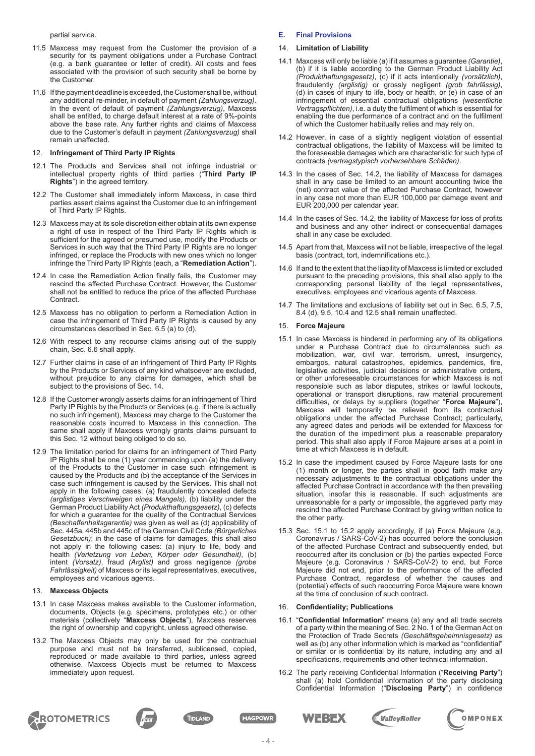partial service.

- 11.5 Maxcess may request from the Customer the provision of a security for its payment obligations under a Purchase Contract (e.g. a bank guarantee or letter of credit). All costs and fees associated with the provision of such security shall be borne by the Customer.
- 11.6 If the payment deadline is exceeded, the Customer shall be, without any additional re-minder, in default of payment *(Zahlungsverzug)*. In the event of default of payment *(Zahlungsverzug)*, Maxcess shall be entitled, to charge default interest at a rate of 9%-points above the base rate. Any further rights and claims of Maxcess due to the Customer's default in payment *(Zahlungsverzug)* shall remain unaffected.

## 12. **Infringement of Third Party IP Rights**

- 12.1 The Products and Services shall not infringe industrial or intellectual property rights of third parties ("**Third Party IP Rights**") in the agreed territory.
- 12.2 The Customer shall immediately inform Maxcess, in case third parties assert claims against the Customer due to an infringement of Third Party IP Rights.
- 12.3 Maxcess may at its sole discretion either obtain at its own expense a right of use in respect of the Third Party IP Rights which is sufficient for the agreed or presumed use, modify the Products or Services in such way that the Third Party IP Rights are no longer infringed, or replace the Products with new ones which no longer infringe the Third Party IP Rights (each, a "**Remediation Action**").
- 12.4 In case the Remediation Action finally fails, the Customer may rescind the affected Purchase Contract. However, the Customer shall not be entitled to reduce the price of the affected Purchase Contract.
- 12.5 Maxcess has no obligation to perform a Remediation Action in case the infringement of Third Party IP Rights is caused by any circumstances described in Sec. 6.5 (a) to (d).
- 12.6 With respect to any recourse claims arising out of the supply chain, Sec. 6.6 shall apply.
- 12.7 Further claims in case of an infringement of Third Party IP Rights by the Products or Services of any kind whatsoever are excluded, without prejudice to any claims for damages, which shall be subject to the provisions of Sec. 14.
- 12.8 If the Customer wrongly asserts claims for an infringement of Third Party IP Rights by the Products or Services (e.g. if there is actually no such infringement), Maxcess may charge to the Customer the reasonable costs incurred to Maxcess in this connection. The same shall apply if Maxcess wrongly grants claims pursuant to this Sec. 12 without being obliged to do so.
- 12.9 The limitation period for claims for an infringement of Third Party IP Rights shall be one (1) year commencing upon (a) the delivery of the Products to the Customer in case such infringement is caused by the Products and (b) the acceptance of the Services in case such infringement is caused by the Services. This shall not apply in the following cases: (a) fraudulently concealed defects *(arglistiges Verschweigen eines Mangels)*, (b) liability under the German Product Liability Act *(Produkthaftungsgesetz)*, (c) defects for which a guarantee for the quality of the Contractual Services *(Beschaffenheitsgarantie)* was given as well as (d) applicability of Sec. 445a, 445b and 445c of the German Civil Code *(Bürgerliches Gesetzbuch)*; in the case of claims for damages, this shall also not apply in the following cases: (a) injury to life, body and health *(Verletzung von Leben, Körper oder Gesundheit)*, (b) intent *(Vorsatz)*, fraud *(Arglist)* and gross negligence *(grobe Fahrlässigkeit)* of Maxcess or its legal representatives, executives, employees and vicarious agents.

## 13. **Maxcess Objects**

- 13.1 In case Maxcess makes available to the Customer information, documents, Objects (e.g. specimens, prototypes etc.) or other materials (collectively "**Maxcess Objects**"), Maxcess reserves the right of ownership and copyright, unless agreed otherwise.
- 13.2 The Maxcess Objects may only be used for the contractual purpose and must not be transferred, sublicensed, copied, reproduced or made available to third parties, unless agreed otherwise. Maxcess Objects must be returned to Maxcess immediately upon request.

## **E. Final Provisions**

# 14. **Limitation of Liability**

- 14.1 Maxcess will only be liable (a) if it assumes a guarantee *(Garantie)*, (b) if it is liable according to the German Product Liability Act *(Produkthaftungsgesetz)*, (c) if it acts intentionally *(vorsätzlich)*, fraudulently *(arglistig)* or grossly negligent *(grob fahrlässig)*, (d) in cases of injury to life, body or health, or (e) in case of an infringement of essential contractual obligations *(wesentliche Vertragspflichten)*, i.e. a duty the fulfilment of which is essential for enabling the due performance of a contract and on the fulfilment of which the Customer habitually relies and may rely on.
- 14.2 However, in case of a slightly negligent violation of essential contractual obligations, the liability of Maxcess will be limited to the foreseeable damages which are characteristic for such type of contracts *(vertragstypisch vorhersehbare Schäden)*.
- 14.3 In the cases of Sec. 14.2, the liability of Maxcess for damages shall in any case be limited to an amount accounting twice the (net) contract value of the affected Purchase Contract, however in any case not more than EUR 100,000 per damage event and EUR 200,000 per calendar year.
- 14.4 In the cases of Sec. 14.2, the liability of Maxcess for loss of profits and business and any other indirect or consequential damages shall in any case be excluded.
- 14.5 Apart from that, Maxcess will not be liable, irrespective of the legal basis (contract, tort, indemnifications etc.).
- 14.6 If and to the extent that the liability of Maxcess is limited or excluded pursuant to the preceding provisions, this shall also apply to the corresponding personal liability of the legal representatives, executives, employees and vicarious agents of Maxcess.
- 14.7 The limitations and exclusions of liability set out in Sec. 6.5, 7.5, 8.4 (d), 9.5, 10.4 and 12.5 shall remain unaffected.

# 15. **Force Majeure**

- 15.1 In case Maxcess is hindered in performing any of its obligations under a Purchase Contract due to circumstances such as mobilization, war, civil war, terrorism, unrest, insurgency, embargos, natural catastrophes, epidemics, pandemics, fire, legislative activities, judicial decisions or administrative orders, or other unforeseeable circumstances for which Maxcess is not responsible such as labor disputes, strikes or lawful lockouts, operational or transport disruptions, raw material procurement difficulties, or delays by suppliers (together "**Force Majeure**"), Maxcess will temporarily be relieved from its contractual obligations under the affected Purchase Contract; particularly, any agreed dates and periods will be extended for Maxcess for the duration of the impediment plus a reasonable preparatory period. This shall also apply if Force Majeure arises at a point in time at which Maxcess is in default.
- 15.2 In case the impediment caused by Force Majeure lasts for one (1) month or longer, the parties shall in good faith make any necessary adjustments to the contractual obligations under the affected Purchase Contract in accordance with the then prevailing situation, insofar this is reasonable. If such adjustments are unreasonable for a party or impossible, the aggrieved party may rescind the affected Purchase Contract by giving written notice to the other party.
- 15.3 Sec. 15.1 to 15.2 apply accordingly, if (a) Force Majeure (e.g. Coronavirus / SARS-CoV-2) has occurred before the conclusion of the affected Purchase Contract and subsequently ended, but reoccurred after its conclusion or (b) the parties expected Force Majeure (e.g. Coronavirus / SARS-CoV-2) to end, but Force Majeure did not end, prior to the performance of the affected Purchase Contract, regardless of whether the causes and (potential) effects of such reoccurring Force Majeure were known at the time of conclusion of such contract.

## 16. **Confidentiality; Publications**

- 16.1 "**Confidential Information**" means (a) any and all trade secrets of a party within the meaning of Sec. 2 No. 1 of the German Act on the Protection of Trade Secrets *(Geschäftsgeheimnisgesetz)* as well as (b) any other information which is marked as "confidential" or similar or is confidential by its nature, including any and all specifications, requirements and other technical information.
- 16.2 The party receiving Confidential Information ("**Receiving Party**") shall (a) hold Confidential Information of the party disclosing Confidential Information ("**Disclosing Party**") in confidence









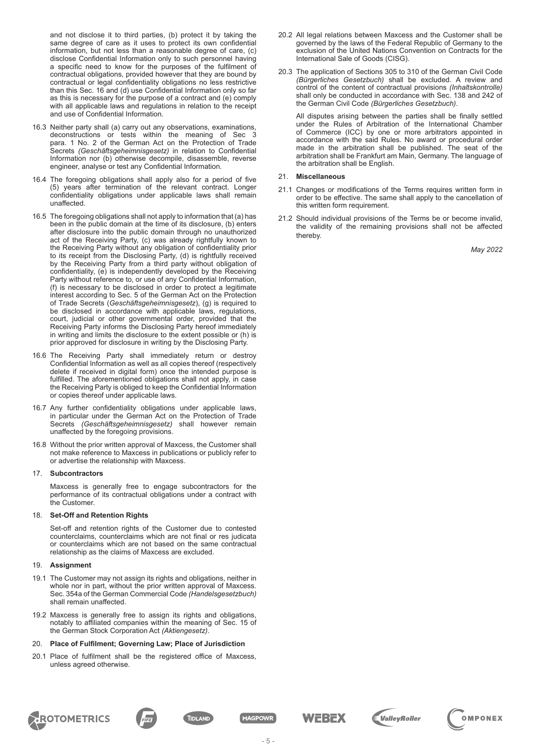and not disclose it to third parties, (b) protect it by taking the same degree of care as it uses to protect its own confidential information, but not less than a reasonable degree of care, (c) disclose Confidential Information only to such personnel having a specific need to know for the purposes of the fulfilment of contractual obligations, provided however that they are bound by contractual or legal confidentiality obligations no less restrictive than this Sec. 16 and (d) use Confidential Information only so far as this is necessary for the purpose of a contract and (e) comply with all applicable laws and requilations in relation to the receipt and use of Confidential Information.

- 16.3 Neither party shall (a) carry out any observations, examinations, deconstructions or tests within the meaning of Sec 3 para. 1 No. 2 of the German Act on the Protection of Trade Secrets *(Geschäftsgeheimnisgesetz)* in relation to Confidential Information nor (b) otherwise decompile, disassemble, reverse engineer, analyse or test any Confidential Information.
- 16.4 The foregoing obligations shall apply also for a period of five (5) years after termination of the relevant contract. Longer confidentiality obligations under applicable laws shall remain unaffected.
- 16.5 The foregoing obligations shall not apply to information that (a) has been in the public domain at the time of its disclosure, (b) enters after disclosure into the public domain through no unauthorized act of the Receiving Party, (c) was already rightfully known to the Receiving Party without any obligation of confidentiality prior to its receipt from the Disclosing Party, (d) is rightfully received by the Receiving Party from a third party without obligation of confidentiality, (e) is independently developed by the Receiving Party without reference to, or use of any Confidential Information, (f) is necessary to be disclosed in order to protect a legitimate interest according to Sec. 5 of the German Act on the Protection of Trade Secrets (*Geschäftsgeheimnisgesetz*), (g) is required to be disclosed in accordance with applicable laws, regulations, court, judicial or other governmental order, provided that the Receiving Party informs the Disclosing Party hereof immediately in writing and limits the disclosure to the extent possible or (h) is prior approved for disclosure in writing by the Disclosing Party.
- 16.6 The Receiving Party shall immediately return or destroy Confidential Information as well as all copies thereof (respectively delete if received in digital form) once the intended purpose is fulfilled. The aforementioned obligations shall not apply, in case the Receiving Party is obliged to keep the Confidential Information or copies thereof under applicable laws.
- 16.7 Any further confidentiality obligations under applicable laws, in particular under the German Act on the Protection of Trade Secrets *(Geschäftsgeheimnisgesetz)* shall however remain unaffected by the foregoing provisions.
- 16.8 Without the prior written approval of Maxcess, the Customer shall not make reference to Maxcess in publications or publicly refer to or advertise the relationship with Maxcess.

## 17. **Subcontractors**

Maxcess is generally free to engage subcontractors for the performance of its contractual obligations under a contract with the Customer.

#### 18. **Set-Off and Retention Rights**

Set-off and retention rights of the Customer due to contested counterclaims, counterclaims which are not final or res judicata or counterclaims which are not based on the same contractual relationship as the claims of Maxcess are excluded.

## 19. **Assignment**

- 19.1 The Customer may not assign its rights and obligations, neither in whole nor in part, without the prior written approval of Maxcess. Sec. 354a of the German Commercial Code *(Handelsgesetzbuch)* shall remain unaffected.
- 19.2 Maxcess is generally free to assign its rights and obligations, notably to affiliated companies within the meaning of Sec. 15 of the German Stock Corporation Act *(Aktiengesetz)*.
- 20. **Place of Fulfilment; Governing Law; Place of Jurisdiction**
- 20.1 Place of fulfilment shall be the registered office of Maxcess, unless agreed otherwise.
- 20.2 All legal relations between Maxcess and the Customer shall be governed by the laws of the Federal Republic of Germany to the exclusion of the United Nations Convention on Contracts for the International Sale of Goods (CISG).
- 20.3 The application of Sections 305 to 310 of the German Civil Code *(Bürgerliches Gesetzbuch)* shall be excluded. A review and control of the content of contractual provisions *(Inhaltskontrolle)* shall only be conducted in accordance with Sec. 138 and 242 of the German Civil Code *(Bürgerliches Gesetzbuch)*.

All disputes arising between the parties shall be finally settled under the Rules of Arbitration of the International Chamber of Commerce (ICC) by one or more arbitrators appointed in accordance with the said Rules. No award or procedural order made in the arbitration shall be published. The seat of the arbitration shall be Frankfurt am Main, Germany. The language of the arbitration shall be English.

#### 21. **Miscellaneous**

- 21.1 Changes or modifications of the Terms requires written form in order to be effective. The same shall apply to the cancellation of this written form requirement.
- 21.2 Should individual provisions of the Terms be or become invalid, the validity of the remaining provisions shall not be affected thereby.

*May 2022*











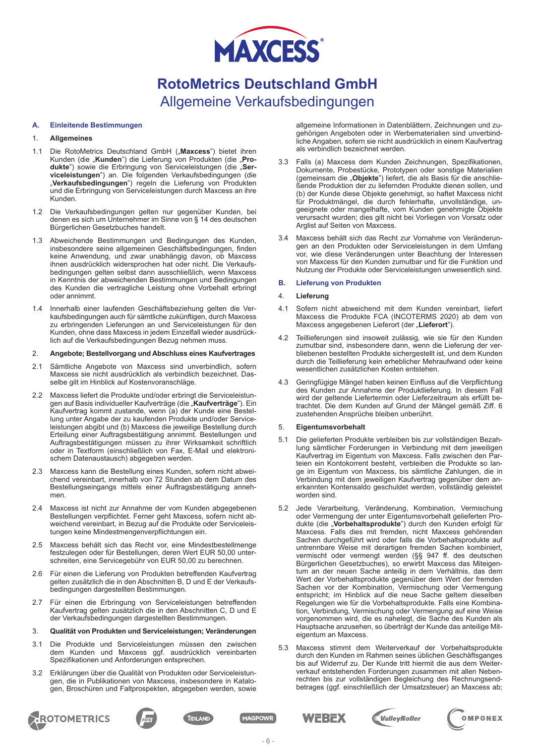

# **RotoMetrics Deutschland GmbH** Allgemeine Verkaufsbedingungen

## **A. Einleitende Bestimmungen**

# 1. **Allgemeines**

- 1.1 Die RotoMetrics Deutschland GmbH ("Maxcess") bietet ihren Kunden (die "**Kunden**") die Lieferung von Produkten (die "**Produkte**") sowie die Erbringung von Serviceleistungen (die "**Serviceleistungen**") an. Die folgenden Verkaufsbedingungen (die "Verkaufsbedingungen") regeln die Lieferung von Produkten und die Erbringung von Serviceleistungen durch Maxcess an ihre Kunden.
- 1.2 Die Verkaufsbedingungen gelten nur gegenüber Kunden, bei denen es sich um Unternehmer im Sinne von § 14 des deutschen Bürgerlichen Gesetzbuches handelt.
- 1.3 Abweichende Bestimmungen und Bedingungen des Kunden, insbesondere seine allgemeinen Geschäftsbedingungen, finden keine Anwendung, und zwar unabhängig davon, ob Maxcess ihnen ausdrücklich widersprochen hat oder nicht. Die Verkaufsbedingungen gelten selbst dann ausschließlich, wenn Maxcess in Kenntnis der abweichenden Bestimmungen und Bedingungen des Kunden die vertragliche Leistung ohne Vorbehalt erbringt oder annimmt.
- Innerhalb einer laufenden Geschäftsbeziehung gelten die Verkaufsbedingungen auch für sämtliche zukünftigen, durch Maxcess zu erbringenden Lieferungen an und Serviceleistungen für den Kunden, ohne dass Maxcess in jedem Einzelfall wieder ausdrücklich auf die Verkaufsbedingungen Bezug nehmen muss.

# 2. **Angebote; Bestellvorgang und Abschluss eines Kaufvertrages**

- 2.1 Sämtliche Angebote von Maxcess sind unverbindlich, sofern Maxcess sie nicht ausdrücklich als verbindlich bezeichnet. Dasselbe gilt im Hinblick auf Kostenvoranschläge.
- 2.2 Maxcess liefert die Produkte und/oder erbringt die Serviceleistungen auf Basis individueller Kaufverträge (die "**Kaufverträge**"). Ein Kaufvertrag kommt zustande, wenn (a) der Kunde eine Bestellung unter Angabe der zu kaufenden Produkte und/oder Serviceleistungen abgibt und (b) Maxcess die jeweilige Bestellung durch Erteilung einer Auftragsbestätigung annimmt. Bestellungen und Auftragsbestätigungen müssen zu ihrer Wirksamkeit schriftlich oder in Textform (einschließlich von Fax, E-Mail und elektronischem Datenaustausch) abgegeben werden.
- 2.3 Maxcess kann die Bestellung eines Kunden, sofern nicht abweichend vereinbart, innerhalb von 72 Stunden ab dem Datum des Bestellungseingangs mittels einer Auftragsbestätigung annehmen.
- 2.4 Maxcess ist nicht zur Annahme der vom Kunden abgegebenen Bestellungen verpflichtet. Ferner geht Maxcess, sofern nicht abweichend vereinbart, in Bezug auf die Produkte oder Serviceleistungen keine Mindestmengenverpflichtungen ein.
- 2.5 Maxcess behält sich das Recht vor, eine Mindestbestellmenge festzulegen oder für Bestellungen, deren Wert EUR 50,00 unterschreiten, eine Servicegebühr von EUR 50,00 zu berechnen.
- 2.6 Für einen die Lieferung von Produkten betreffenden Kaufvertrag gelten zusätzlich die in den Abschnitten B, D und E der Verkaufsbedingungen dargestellten Bestimmungen.
- 2.7 Für einen die Erbringung von Serviceleistungen betreffenden Kaufvertrag gelten zusätzlich die in den Abschnitten C, D und E der Verkaufsbedingungen dargestellten Bestimmungen.

## 3. **Qualität von Produkten und Serviceleistungen; Veränderungen**

- 3.1 Die Produkte und Serviceleistungen müssen den zwischen dem Kunden und Maxcess ggf. ausdrücklich vereinbarten Spezifikationen und Anforderungen entsprechen.
- 3.2 Erklärungen über die Qualität von Produkten oder Serviceleistungen, die in Publikationen von Maxcess, insbesondere in Katalogen, Broschüren und Faltprospekten, abgegeben werden, sowie

allgemeine Informationen in Datenblättern, Zeichnungen und zugehörigen Angeboten oder in Werbematerialien sind unverbindliche Angaben, sofern sie nicht ausdrücklich in einem Kaufvertrag als verbindlich bezeichnet werden.

- 3.3 Falls (a) Maxcess dem Kunden Zeichnungen, Spezifikationen, Dokumente, Probestücke, Prototypen oder sonstige Materialien (gemeinsam die "**Objekte**") liefert, die als Basis für die anschließende Produktion der zu liefernden Produkte dienen sollen, und (b) der Kunde diese Objekte genehmigt, so haftet Maxcess nicht für Produktmängel, die durch fehlerhafte, unvollständige, ungeeignete oder mangelhafte, vom Kunden genehmigte Objekte verursacht wurden; dies gilt nicht bei Vorliegen von Vorsatz oder Arglist auf Seiten von Maxcess.
- 3.4 Maxcess behält sich das Recht zur Vornahme von Veränderungen an den Produkten oder Serviceleistungen in dem Umfang vor, wie diese Veränderungen unter Beachtung der Interessen von Maxcess für den Kunden zumutbar und für die Funktion und Nutzung der Produkte oder Serviceleistungen unwesentlich sind.

# **B. Lieferung von Produkten**

# 4. **Lieferung**

- 4.1 Sofern nicht abweichend mit dem Kunden vereinbart, liefert Maxcess die Produkte FCA (INCOTERMS 2020) ab dem von Maxcess angegebenen Lieferort (der "Lieferort").
- 4.2 Teillieferungen sind insoweit zulässig, wie sie für den Kunden zumutbar sind, insbesondere dann, wenn die Lieferung der verbliebenen bestellten Produkte sichergestellt ist, und dem Kunden durch die Teillieferung kein erheblicher Mehraufwand oder keine wesentlichen zusätzlichen Kosten entstehen.
- 4.3 Geringfügige Mängel haben keinen Einfluss auf die Verpflichtung des Kunden zur Annahme der Produktlieferung. In diesem Fall wird der geltende Liefertermin oder Lieferzeitraum als erfüllt betrachtet. Die dem Kunden auf Grund der Mängel gemäß Ziff. 6 zustehenden Ansprüche bleiben unberührt.

## 5. **Eigentumsvorbehalt**

- 5.1 Die gelieferten Produkte verbleiben bis zur vollständigen Bezahlung sämtlicher Forderungen in Verbindung mit dem jeweiligen Kaufvertrag im Eigentum von Maxcess. Falls zwischen den Parteien ein Kontokorrent besteht, verbleiben die Produkte so lange im Eigentum von Maxcess, bis sämtliche Zahlungen, die in Verbindung mit dem jeweiligen Kaufvertrag gegenüber dem anerkannten Kontensaldo geschuldet werden, vollständig geleistet worden sind.
- 5.2 Jede Verarbeitung, Veränderung, Kombination, Vermischung oder Vermengung der unter Eigentumsvorbehalt gelieferten Produkte (die "**Vorbehaltsprodukte**") durch den Kunden erfolgt für Maxcess. Falls dies mit fremden, nicht Maxcess gehörenden Sachen durchgeführt wird oder falls die Vorbehaltsprodukte auf untrennbare Weise mit derartigen fremden Sachen kombiniert, vermischt oder vermengt werden (§§ 947 ff. des deutschen Bürgerlichen Gesetzbuches), so erwirbt Maxcess das Miteigentum an der neuen Sache anteilig in dem Verhältnis, das dem Wert der Vorbehaltsprodukte gegenüber dem Wert der fremden Sachen vor der Kombination, Vermischung oder Vermengung entspricht; im Hinblick auf die neue Sache geltem dieselben Regelungen wie für die Vorbehaltsprodukte. Falls eine Kombination, Verbindung, Vermischung oder Vermengung auf eine Weise vorgenommen wird, die es nahelegt, die Sache des Kunden als Hauptsache anzusehen, so überträgt der Kunde das anteilige Miteigentum an Maxcess.
- 5.3 Maxcess stimmt dem Weiterverkauf der Vorbehaltsprodukte durch den Kunden im Rahmen seines üblichen Geschäftsganges bis auf Widerruf zu. Der Kunde tritt hiermit die aus dem Weiterverkauf entstehenden Forderungen zusammen mit allen Nebenrechten bis zur vollständigen Begleichung des Rechnungsendbetrages (ggf. einschließlich der Umsatzsteuer) an Maxcess ab;







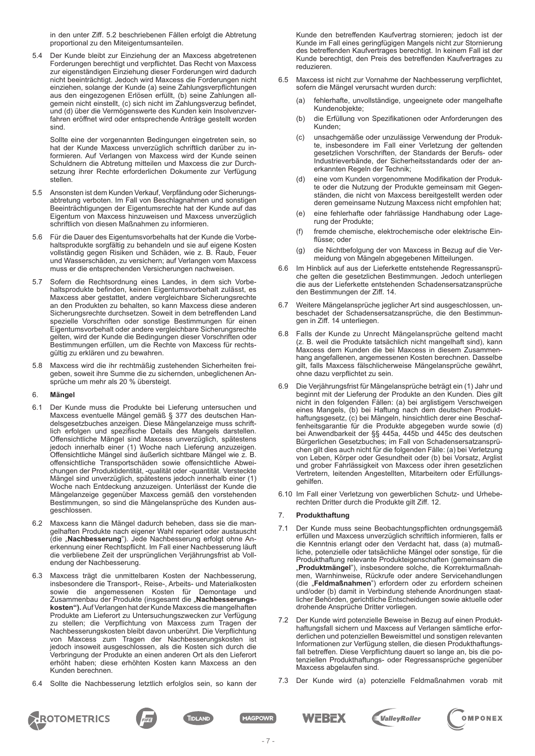in den unter Ziff. 5.2 beschriebenen Fällen erfolgt die Abtretung proportional zu den Miteigentumsanteilen.

5.4 Der Kunde bleibt zur Einziehung der an Maxcess abgetretenen Forderungen berechtigt und verpflichtet. Das Recht von Maxcess zur eigenständigen Einziehung dieser Forderungen wird dadurch nicht beeinträchtigt. Jedoch wird Maxcess die Forderungen nicht einziehen, solange der Kunde (a) seine Zahlungsverpflichtungen aus den eingezogenen Erlösen erfüllt, (b) seine Zahlungen allgemein nicht einstellt, (c) sich nicht im Zahlungsverzug befindet, und (d) über die Vermögenswerte des Kunden kein Insolvenzverfahren eröffnet wird oder entsprechende Anträge gestellt worden sind.

Sollte eine der vorgenannten Bedingungen eingetreten sein, so hat der Kunde Maxcess unverzüglich schriftlich darüber zu informieren. Auf Verlangen von Maxcess wird der Kunde seinen Schuldnern die Abtretung mitteilen und Maxcess die zur Durchsetzung ihrer Rechte erforderlichen Dokumente zur Verfügung stellen.

- 5.5 Ansonsten ist dem Kunden Verkauf, Verpfändung oder Sicherungsabtretung verboten. Im Fall von Beschlagnahmen und sonstigen Beeinträchtigungen der Eigentumsrechte hat der Kunde auf das Eigentum von Maxcess hinzuweisen und Maxcess unverzüglich schriftlich von diesen Maßnahmen zu informieren.
- 5.6 Für die Dauer des Eigentumsvorbehalts hat der Kunde die Vorbehaltsprodukte sorgfältig zu behandeln und sie auf eigene Kosten vollständig gegen Risiken und Schäden, wie z. B. Raub, Feuer und Wasserschäden, zu versichern; auf Verlangen vom Maxcess muss er die entsprechenden Versicherungen nachweisen.
- 5.7 Sofern die Rechtsordnung eines Landes, in dem sich Vorbehaltsprodukte befinden, keinen Eigentumsvorbehalt zulässt, es Maxcess aber gestattet, andere vergleichbare Sicherungsrechte an den Produkten zu behalten, so kann Maxcess diese anderen Sicherungsrechte durchsetzen. Soweit in dem betreffenden Land spezielle Vorschriften oder sonstige Bestimmungen für einen Eigentumsvorbehalt oder andere vergleichbare Sicherungsrechte gelten, wird der Kunde die Bedingungen dieser Vorschriften oder Bestimmungen erfüllen, um die Rechte von Maxcess für rechtsgültig zu erklären und zu bewahren.
- 5.8 Maxcess wird die ihr rechtmäßig zustehenden Sicherheiten freigeben, soweit ihre Summe die zu sichernden, unbeglichenen Ansprüche um mehr als 20 % übersteigt.

#### 6. **Mängel**

- 6.1 Der Kunde muss die Produkte bei Lieferung untersuchen und Maxcess eventuelle Mängel gemäß § 377 des deutschen Handelsgesetzbuches anzeigen. Diese Mängelanzeige muss schriftlich erfolgen und spezifische Details des Mangels darstellen. Offensichtliche Mängel sind Maxcess unverzüglich, spätestens jedoch innerhalb einer (1) Woche nach Lieferung anzuzeigen. Offensichtliche Mängel sind äußerlich sichtbare Mängel wie z. B. offensichtliche Transportschäden sowie offensichtliche Abweichungen der Produktidentität, -qualität oder -quantität. Versteckte Mängel sind unverzüglich, spätestens jedoch innerhalb einer (1) Woche nach Entdeckung anzuzeigen. Unterlässt der Kunde die Mängelanzeige gegenüber Maxcess gemäß den vorstehenden Bestimmungen, so sind die Mängelansprüche des Kunden ausgeschlossen.
- 6.2 Maxcess kann die Mängel dadurch beheben, dass sie die mangelhaften Produkte nach eigener Wahl repariert oder austauscht (die "Nachbesserung"). Jede Nachbesserung erfolgt ohne Anerkennung einer Rechtspflicht. Im Fall einer Nachbesserung läuft die verbliebene Zeit der ursprünglichen Verjährungsfrist ab Vollendung der Nachbesserung.
- 6.3 Maxcess trägt die unmittelbaren Kosten der Nachbesserung, insbesondere die Transport-, Reise-, Arbeits- und Materialkosten sowie die angemessenen Kosten für Demontage und Zusammenbau der Produkte (insgesamt die "Nachbesserungs**kosten").** Auf Verlangen hat der Kunde Maxcess die mangelhaften Produkte am Lieferort zu Untersuchungszwecken zur Verfügung zu stellen; die Verpflichtung von Maxcess zum Tragen der Nachbesserungskosten bleibt davon unberührt. Die Verpflichtung von Maxcess zum Tragen der Nachbesserungskosten ist jedoch insoweit ausgeschlossen, als die Kosten sich durch die Verbringung der Produkte an einen anderen Ort als den Lieferort erhöht haben; diese erhöhten Kosten kann Maxcess an den Kunden berechnen.
- 6.4 Sollte die Nachbesserung letztlich erfolglos sein, so kann der

Kunde den betreffenden Kaufvertrag stornieren; jedoch ist der Kunde im Fall eines geringfügigen Mangels nicht zur Stornierung des betreffenden Kaufvertrages berechtigt. In keinem Fall ist der Kunde berechtigt, den Preis des betreffenden Kaufvertrages zu reduzieren.

- 6.5 Maxcess ist nicht zur Vornahme der Nachbesserung verpflichtet, sofern die Mängel verursacht wurden durch:
	- (a) fehlerhafte, unvollständige, ungeeignete oder mangelhafte Kundenobjekte;
	- (b) die Erfüllung von Spezifikationen oder Anforderungen des Kunden;
	- (c) unsachgemäße oder unzulässige Verwendung der Produkte, insbesondere im Fall einer Verletzung der geltenden gesetzlichen Vorschriften, der Standards der Berufs- oder Industrieverbände, der Sicherheitsstandards oder der anerkannten Regeln der Technik;
	- (d) eine vom Kunden vorgenommene Modifikation der Produkte oder die Nutzung der Produkte gemeinsam mit Gegenständen, die nicht von Maxcess bereitgestellt werden oder deren gemeinsame Nutzung Maxcess nicht empfohlen hat;
	- (e) eine fehlerhafte oder fahrlässige Handhabung oder Lagerung der Produkte;
	- (f) fremde chemische, elektrochemische oder elektrische Einflüsse; oder
	- (g) die Nichtbefolgung der von Maxcess in Bezug auf die Vermeidung von Mängeln abgegebenen Mitteilungen.
- 6.6 Im Hinblick auf aus der Lieferkette entstehende Regressansprüche gelten die gesetzlichen Bestimmungen. Jedoch unterliegen die aus der Lieferkette entstehenden Schadensersatzansprüche den Bestimmungen der Ziff. 14.
- 6.7 Weitere Mängelansprüche jeglicher Art sind ausgeschlossen, unbeschadet der Schadensersatzansprüche, die den Bestimmungen in Ziff. 14 unterliegen.
- 6.8 Falls der Kunde zu Unrecht Mängelansprüche geltend macht (z. B. weil die Produkte tatsächlich nicht mangelhaft sind), kann Maxcess dem Kunden die bei Maxcess in diesem Zusammenhang angefallenen, angemessenen Kosten berechnen. Dasselbe gilt, falls Maxcess fälschlicherweise Mängelansprüche gewährt, ohne dazu verpflichtet zu sein.
- 6.9 Die Verjährungsfrist für Mängelansprüche beträgt ein (1) Jahr und beginnt mit der Lieferung der Produkte an den Kunden. Dies gilt nicht in den folgenden Fällen: (a) bei arglistigem Verschweigen eines Mangels, (b) bei Haftung nach dem deutschen Produkthaftungsgesetz, (c) bei Mängeln, hinsichtlich derer eine Beschaffenheitsgarantie für die Produkte abgegeben wurde sowie (d) bei Anwendbarkeit der §§ 445a, 445b und 445c des deutschen Bürgerlichen Gesetzbuches; im Fall von Schadensersatzansprüchen gilt dies auch nicht für die folgenden Fälle: (a) bei Verletzung von Leben, Körper oder Gesundheit oder (b) bei Vorsatz, Arglist und grober Fahrlässigkeit von Maxcess oder ihren gesetzlichen Vertretern, leitenden Angestellten, Mitarbeitern oder Erfüllungsgehilfen.
- 6.10 Im Fall einer Verletzung von gewerblichen Schutz- und Urheberechten Dritter durch die Produkte gilt Ziff. 12.

## 7. **Produkthaftung**

- 7.1 Der Kunde muss seine Beobachtungspflichten ordnungsgemäß erfüllen und Maxcess unverzüglich schriftlich informieren, falls er die Kenntnis erlangt oder den Verdacht hat, dass (a) mutmaßliche, potenzielle oder tatsächliche Mängel oder sonstige, für die Produkthaftung relevante Produkteigenschaften (gemeinsam die "Produktmängel"), insbesondere solche, die Korrekturmaßnahmen, Warnhinweise, Rückrufe oder andere Servicehandlungen (die "**Feldmaßnahmen**") erfordern oder zu erfordern scheinen und/oder (b) damit in Verbindung stehende Anordnungen staatlicher Behörden, gerichtliche Entscheidungen sowie aktuelle oder drohende Ansprüche Dritter vorliegen.
- 7.2 Der Kunde wird potenzielle Beweise in Bezug auf einen Produkthaftungsfall sichern und Maxcess auf Verlangen sämtliche erforderlichen und potenziellen Beweismittel und sonstigen relevanten Informationen zur Verfügung stellen, die diesen Produkthaftungsfall betreffen. Diese Verpflichtung dauert so lange an, bis die potenziellen Produkthaftungs- oder Regressansprüche gegenüber Maxcess abgelaufen sind.
- 7.3 Der Kunde wird (a) potenzielle Feldmaßnahmen vorab mit









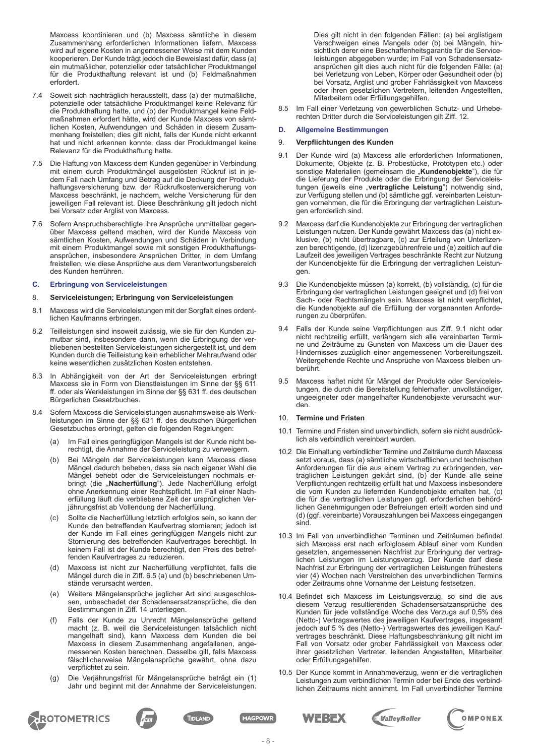Maxcess koordinieren und (b) Maxcess sämtliche in diesem Zusammenhang erforderlichen Informationen liefern. Maxcess wird auf eigene Kosten in angemessener Weise mit dem Kunden kooperieren. Der Kunde trägt jedoch die Beweislast dafür, dass (a) ein mutmaßlicher, potenzieller oder tatsächlicher Produktmangel für die Produkthaftung relevant ist und (b) Feldmaßnahmen erfordert.

- 7.4 Soweit sich nachträglich herausstellt, dass (a) der mutmaßliche, potenzielle oder tatsächliche Produktmangel keine Relevanz für die Produkthaftung hatte, und (b) der Produktmangel keine Feldmaßnahmen erfordert hätte, wird der Kunde Maxcess von sämtlichen Kosten, Aufwendungen und Schäden in diesem Zusammenhang freistellen; dies gilt nicht, falls der Kunde nicht erkannt hat und nicht erkennen konnte, dass der Produktmangel keine Relevanz für die Produkthaftung hatte.
- 7.5 Die Haftung von Maxcess dem Kunden gegenüber in Verbindung mit einem durch Produktmängel ausgelösten Rückruf ist in jedem Fall nach Umfang und Betrag auf die Deckung der Produkthaftungsversicherung bzw. der Rückrufkostenversicherung von Maxcess beschränkt, je nachdem, welche Versicherung für den jeweiligen Fall relevant ist. Diese Beschränkung gilt jedoch nicht bei Vorsatz oder Arglist von Maxcess.
- 7.6 Sofern Anspruchsberechtigte ihre Ansprüche unmittelbar gegenüber Maxcess geltend machen, wird der Kunde Maxcess von sämtlichen Kosten, Aufwendungen und Schäden in Verbindung mit einem Produktmangel sowie mit sonstigen Produkthaftungsansprüchen, insbesondere Ansprüchen Dritter, in dem Umfang freistellen, wie diese Ansprüche aus dem Verantwortungsbereich des Kunden herrühren.

#### **C. Erbringung von Serviceleistungen**

#### 8. **Serviceleistungen; Erbringung von Serviceleistungen**

- 8.1 Maxcess wird die Serviceleistungen mit der Sorgfalt eines ordentlichen Kaufmanns erbringen.
- 8.2 Teilleistungen sind insoweit zulässig, wie sie für den Kunden zumutbar sind, insbesondere dann, wenn die Erbringung der verbliebenen bestellten Serviceleistungen sichergestellt ist, und dem Kunden durch die Teilleistung kein erheblicher Mehraufwand oder keine wesentlichen zusätzlichen Kosten entstehen.
- 8.3 In Abhängigkeit von der Art der Serviceleistungen erbringt Maxcess sie in Form von Dienstleistungen im Sinne der §§ 611 ff. oder als Werkleistungen im Sinne der §§ 631 ff. des deutschen Bürgerlichen Gesetzbuches.
- 8.4 Sofern Maxcess die Serviceleistungen ausnahmsweise als Werkleistungen im Sinne der §§ 631 ff. des deutschen Bürgerlichen Gesetzbuches erbringt, gelten die folgenden Regelungen:
	- (a) Im Fall eines geringfügigen Mangels ist der Kunde nicht berechtigt, die Annahme der Serviceleistung zu verweigern.
	- (b) Bei Mängeln der Serviceleistungen kann Maxcess diese Mängel dadurch beheben, dass sie nach eigener Wahl die Mängel behebt oder die Serviceleistungen nochmals erbringt (die "**Nacherfüllung**"). Jede Nacherfüllung erfolgt ohne Anerkennung einer Rechtspflicht. Im Fall einer Nacherfüllung läuft die verbliebene Zeit der ursprünglichen Verjährungsfrist ab Vollendung der Nacherfüllung
	- (c) Sollte die Nacherfüllung letztlich erfolglos sein, so kann der Kunde den betreffenden Kaufvertrag stornieren; jedoch ist der Kunde im Fall eines geringfügigen Mangels nicht zur Stornierung des betreffenden Kaufvertrages berechtigt. In keinem Fall ist der Kunde berechtigt, den Preis des betreffenden Kaufvertrages zu reduzieren.
	- (d) Maxcess ist nicht zur Nacherfüllung verpflichtet, falls die Mängel durch die in Ziff. 6.5 (a) und (b) beschriebenen Umstände verursacht werden.
	- (e) Weitere Mängelansprüche jeglicher Art sind ausgeschlossen, unbeschadet der Schadensersatzansprüche, die den Bestimmungen in Ziff. 14 unterliegen.
	- (f) Falls der Kunde zu Unrecht Mängelansprüche geltend macht (z. B. weil die Serviceleistungen tatsächlich nicht mangelhaft sind), kann Maxcess dem Kunden die bei Maxcess in diesem Zusammenhang angefallenen, angemessenen Kosten berechnen. Dasselbe gilt, falls Maxcess fälschlicherweise Mängelansprüche gewährt, ohne dazu verpflichtet zu sein.
	- (g) Die Verjährungsfrist für Mängelansprüche beträgt ein (1) Jahr und beginnt mit der Annahme der Serviceleistungen.

Dies gilt nicht in den folgenden Fällen: (a) bei arglistigem Verschweigen eines Mangels oder (b) bei Mängeln, hinsichtlich derer eine Beschaffenheitsgarantie für die Serviceleistungen abgegeben wurde; im Fall von Schadensersatzansprüchen gilt dies auch nicht für die folgenden Fälle: (a) bei Verletzung von Leben, Körper oder Gesundheit oder (b) bei Vorsatz, Arglist und grober Fahrlässigkeit von Maxcess oder ihren gesetzlichen Vertretern, leitenden Angestellten, Mitarbeitern oder Erfüllungsgehilfen.

8.5 Im Fall einer Verletzung von gewerblichen Schutz- und Urheberechten Dritter durch die Serviceleistungen gilt Ziff. 12.

## **D. Allgemeine Bestimmungen**

## 9. **Verpflichtungen des Kunden**

- 9.1 Der Kunde wird (a) Maxcess alle erforderlichen Informationen, Dokumente, Objekte (z. B. Probestücke, Prototypen etc.) oder sonstige Materialien (gemeinsam die "**Kundenobjekte**"), die für die Lieferung der Produkte oder die Erbringung der Serviceleistungen (jeweils eine "**vertragliche Leistung**") notwendig sind, zur Verfügung stellen und (b) sämtliche ggf. vereinbarten Leistungen vornehmen, die für die Erbringung der vertraglichen Leistungen erforderlich sind.
- 9.2 Maxcess darf die Kundenobjekte zur Erbringung der vertraglichen Leistungen nutzen. Der Kunde gewährt Maxcess das (a) nicht exklusive, (b) nicht übertragbare, (c) zur Erteilung von Unterlizenzen berechtigende, (d) lizenzgebührenfreie und (e) zeitlich auf die Laufzeit des jeweiligen Vertrages beschränkte Recht zur Nutzung der Kundenobjekte für die Erbringung der vertraglichen Leistungen.
- 9.3 Die Kundenobjekte müssen (a) korrekt, (b) vollständig, (c) für die Erbringung der vertraglichen Leistungen geeignet und (d) frei von Sach- oder Rechtsmängeln sein. Maxcess ist nicht verpflichtet, die Kundenobjekte auf die Erfüllung der vorgenannten Anforderungen zu überprüfen.
- 9.4 Falls der Kunde seine Verpflichtungen aus Ziff. 9.1 nicht oder nicht rechtzeitig erfüllt, verlängern sich alle vereinbarten Termine und Zeiträume zu Gunsten von Maxcess um die Dauer des Hindernisses zuzüglich einer angemessenen Vorbereitungszeit. Weitergehende Rechte und Ansprüche von Maxcess bleiben unberührt.
- 9.5 Maxcess haftet nicht für Mängel der Produkte oder Serviceleistungen, die durch die Bereitstellung fehlerhafter, unvollständiger, ungeeigneter oder mangelhafter Kundenobjekte verursacht wurden.

## 10. **Termine und Fristen**

- 10.1 Termine und Fristen sind unverbindlich, sofern sie nicht ausdrücklich als verbindlich vereinbart wurden.
- 10.2 Die Einhaltung verbindlicher Termine und Zeiträume durch Maxcess setzt voraus, dass (a) sämtliche wirtschaftlichen und technischen Anforderungen für die aus einem Vertrag zu erbringenden, vertraglichen Leistungen geklärt sind, (b) der Kunde alle seine Verpflichtungen rechtzeitig erfüllt hat und Maxcess insbesondere die vom Kunden zu liefernden Kundenobjekte erhalten hat, (c) die für die vertraglichen Leistungen ggf. erforderlichen behördlichen Genehmigungen oder Befreiungen erteilt worden sind und (d) (ggf. vereinbarte) Vorauszahlungen bei Maxcess eingegangen sind.
- 10.3 Im Fall von unverbindlichen Terminen und Zeiträumen befindet sich Maxcess erst nach erfolglosem Ablauf einer vom Kunden gesetzten, angemessenen Nachfrist zur Erbringung der vertraglichen Leistungen im Leistungsverzug. Der Kunde darf diese Nachfrist zur Erbringung der vertraglichen Leistungen frühestens vier (4) Wochen nach Verstreichen des unverbindlichen Termins oder Zeitraums ohne Vornahme der Leistung festsetzen.
- 10.4 Befindet sich Maxcess im Leistungsverzug, so sind die aus diesem Verzug resultierenden Schadensersatzansprüche des Kunden für jede vollständige Woche des Verzugs auf 0,5% des (Netto-) Vertragswertes des jeweiligen Kaufvertrages, insgesamt jedoch auf 5 % des (Netto-) Vertragswertes des jeweiligen Kaufvertrages beschränkt. Diese Haftungsbeschränkung gilt nicht im Fall von Vorsatz oder grober Fahrlässigkeit von Maxcess oder ihrer gesetzlichen Vertreter, leitenden Angestellten, Mitarbeiter oder Erfüllungsgehilfen.
- 10.5 Der Kunde kommt in Annahmeverzug, wenn er die vertraglichen Leistungen zum verbindlichen Termin oder bei Ende des verbindlichen Zeitraums nicht annimmt. Im Fall unverbindlicher Termine









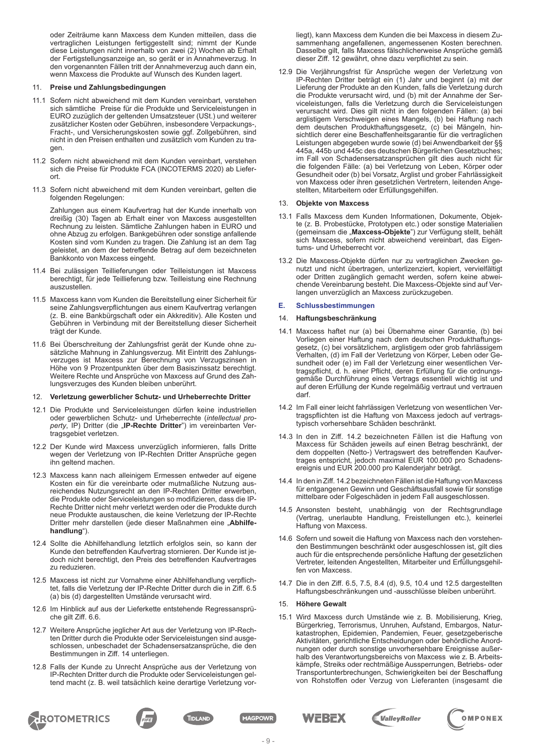oder Zeiträume kann Maxcess dem Kunden mitteilen, dass die vertraglichen Leistungen fertiggestellt sind; nimmt der Kunde diese Leistungen nicht innerhalb von zwei (2) Wochen ab Erhalt der Fertigstellungsanzeige an, so gerät er in Annahmeverzug. In den vorgenannten Fällen tritt der Annahmeverzug auch dann ein, wenn Maxcess die Produkte auf Wunsch des Kunden lagert.

## 11. **Preise und Zahlungsbedingungen**

- 11.1 Sofern nicht abweichend mit dem Kunden vereinbart, verstehen sich sämtliche Preise für die Produkte und Serviceleistungen in EURO zuzüglich der geltenden Umsatzsteuer (USt.) und weiterer zusätzlicher Kosten oder Gebühren, insbesondere Verpackungs-, Fracht-, und Versicherungskosten sowie ggf. Zollgebühren, sind nicht in den Preisen enthalten und zusätzlich vom Kunden zu tragen.
- 11.2 Sofern nicht abweichend mit dem Kunden vereinbart, verstehen sich die Preise für Produkte FCA (INCOTERMS 2020) ab Lieferort.
- 11.3 Sofern nicht abweichend mit dem Kunden vereinbart, gelten die folgenden Regelungen:

Zahlungen aus einem Kaufvertrag hat der Kunde innerhalb von dreißig (30) Tagen ab Erhalt einer von Maxcess ausgestellten Rechnung zu leisten. Sämtliche Zahlungen haben in EURO und ohne Abzug zu erfolgen. Bankgebühren oder sonstige anfallende Kosten sind vom Kunden zu tragen. Die Zahlung ist an dem Tag geleistet, an dem der betreffende Betrag auf dem bezeichneten Bankkonto von Maxcess eingeht.

- 11.4 Bei zulässigen Teillieferungen oder Teilleistungen ist Maxcess berechtigt, für jede Teillieferung bzw. Teilleistung eine Rechnung auszustellen.
- 11.5 Maxcess kann vom Kunden die Bereitstellung einer Sicherheit für seine Zahlungsverpflichtungen aus einem Kaufvertrag verlangen (z. B. eine Bankbürgschaft oder ein Akkreditiv). Alle Kosten und Gebühren in Verbindung mit der Bereitstellung dieser Sicherheit trägt der Kunde.
- 11.6 Bei Überschreitung der Zahlungsfrist gerät der Kunde ohne zusätzliche Mahnung in Zahlungsverzug*.* Mit Eintritt des Zahlungsverzuges ist Maxcess zur Berechnung von Verzugszinsen in Höhe von 9 Prozentpunkten über dem Basiszinssatz berechtigt. Weitere Rechte und Ansprüche von Maxcess auf Grund des Zahlungsverzuges des Kunden bleiben unberührt.

# 12. **Verletzung gewerblicher Schutz- und Urheberrechte Dritter**

- 12.1 Die Produkte und Serviceleistungen dürfen keine industriellen oder gewerblichen Schutz- und Urheberrechte (*intellectual pro*perty, IP) Dritter (die "IP-Rechte Dritter") im vereinbarten Vertragsgebiet verletzen.
- 12.2 Der Kunde wird Maxcess unverzüglich informieren, falls Dritte wegen der Verletzung von IP-Rechten Dritter Ansprüche gegen ihn geltend machen.
- 12.3 Maxcess kann nach alleinigem Ermessen entweder auf eigene Kosten ein für die vereinbarte oder mutmaßliche Nutzung ausreichendes Nutzungsrecht an den IP-Rechten Dritter erwerben, die Produkte oder Serviceleistungen so modifizieren, dass die IP-Rechte Dritter nicht mehr verletzt werden oder die Produkte durch neue Produkte austauschen, die keine Verletzung der IP-Rechte Dritter mehr darstellen (jede dieser Maßnahmen eine "Abhilfe**handlung**").
- 12.4 Sollte die Abhilfehandlung letztlich erfolglos sein, so kann der Kunde den betreffenden Kaufvertrag stornieren. Der Kunde ist jedoch nicht berechtigt, den Preis des betreffenden Kaufvertrages zu reduzieren.
- 12.5 Maxcess ist nicht zur Vornahme einer Abhilfehandlung verpflichtet, falls die Verletzung der IP-Rechte Dritter durch die in Ziff. 6.5 (a) bis (d) dargestellten Umstände verursacht wird.
- 12.6 Im Hinblick auf aus der Lieferkette entstehende Regressansprüche gilt Ziff. 6.6.
- 12.7 Weitere Ansprüche jeglicher Art aus der Verletzung von IP-Rechten Dritter durch die Produkte oder Serviceleistungen sind ausgeschlossen, unbeschadet der Schadensersatzansprüche, die den Bestimmungen in Ziff. 14 unterliegen.
- 12.8 Falls der Kunde zu Unrecht Ansprüche aus der Verletzung von IP-Rechten Dritter durch die Produkte oder Serviceleistungen geltend macht (z. B. weil tatsächlich keine derartige Verletzung vor-

liegt), kann Maxcess dem Kunden die bei Maxcess in diesem Zusammenhang angefallenen, angemessenen Kosten berechnen. Dasselbe gilt, falls Maxcess fälschlicherweise Ansprüche gemäß dieser Ziff. 12 gewährt, ohne dazu verpflichtet zu sein.

12.9 Die Verjährungsfrist für Ansprüche wegen der Verletzung von IP-Rechten Dritter beträgt ein (1) Jahr und beginnt (a) mit der Lieferung der Produkte an den Kunden, falls die Verletzung durch die Produkte verursacht wird, und (b) mit der Annahme der Serviceleistungen, falls die Verletzung durch die Serviceleistungen verursacht wird. Dies gilt nicht in den folgenden Fällen: (a) bei arglistigem Verschweigen eines Mangels, (b) bei Haftung nach dem deutschen Produkthaftungsgesetz, (c) bei Mängeln, hinsichtlich derer eine Beschaffenheitsgarantie für die vertraglichen Leistungen abgegeben wurde sowie (d) bei Anwendbarkeit der §§ 445a, 445b und 445c des deutschen Bürgerlichen Gesetzbuches; im Fall von Schadensersatzansprüchen gilt dies auch nicht für die folgenden Fälle: (a) bei Verletzung von Leben, Körper oder Gesundheit oder (b) bei Vorsatz, Arglist und grober Fahrlässigkeit von Maxcess oder ihren gesetzlichen Vertretern, leitenden Angestellten, Mitarbeitern oder Erfüllungsgehilfen.

## 13. **Objekte von Maxcess**

- 13.1 Falls Maxcess dem Kunden Informationen, Dokumente, Objekte (z. B. Probestücke, Prototypen etc.) oder sonstige Materialien (gemeinsam die "**Maxcess-Objekte**") zur Verfügung stellt, behält sich Maxcess, sofern nicht abweichend vereinbart, das Eigentums- und Urheberrecht vor.
- 13.2 Die Maxcess-Objekte dürfen nur zu vertraglichen Zwecken genutzt und nicht übertragen, unterlizenziert, kopiert, vervielfältigt oder Dritten zugänglich gemacht werden, sofern keine abweichende Vereinbarung besteht. Die Maxcess-Objekte sind auf Verlangen unverzüglich an Maxcess zurückzugeben.

# **E. Schlussbestimmungen**

## 14. **Haftungsbeschränkung**

- 14.1 Maxcess haftet nur (a) bei Übernahme einer Garantie, (b) bei Vorliegen einer Haftung nach dem deutschen Produkthaftungsgesetz, (c) bei vorsätzlichem, arglistigem oder grob fahrlässigem Verhalten, (d) im Fall der Verletzung von Körper, Leben oder Gesundheit oder (e) im Fall der Verletzung einer wesentlichen Vertragspflicht, d. h. einer Pflicht, deren Erfüllung für die ordnungsgemäße Durchführung eines Vertrags essentiell wichtig ist und auf deren Erfüllung der Kunde regelmäßig vertraut und vertrauen darf.
- 14.2 Im Fall einer leicht fahrlässigen Verletzung von wesentlichen Vertragspflichten ist die Haftung von Maxcess jedoch auf vertragstypisch vorhersehbare Schäden beschränkt.
- 14.3 In den in Ziff. 14.2 bezeichneten Fällen ist die Haftung von Maxcess für Schäden jeweils auf einen Betrag beschränkt, der dem doppelten (Netto-) Vertragswert des betreffenden Kaufvertrages entspricht, jedoch maximal EUR 100.000 pro Schadensereignis und EUR 200.000 pro Kalenderjahr beträgt.
- 14.4 In den in Ziff. 14.2 bezeichneten Fällen ist die Haftung von Maxcess für entgangenen Gewinn und Geschäftsausfall sowie für sonstige mittelbare oder Folgeschäden in jedem Fall ausgeschlossen.
- 14.5 Ansonsten besteht, unabhängig von der Rechtsgrundlage (Vertrag, unerlaubte Handlung, Freistellungen etc.), keinerlei Haftung von Maxcess.
- 14.6 Sofern und soweit die Haftung von Maxcess nach den vorstehenden Bestimmungen beschränkt oder ausgeschlossen ist, gilt dies auch für die entsprechende persönliche Haftung der gesetzlichen Vertreter, leitenden Angestellten, Mitarbeiter und Erfüllungsgehilfen von Maxcess.
- 14.7 Die in den Ziff. 6.5, 7.5, 8.4 (d), 9.5, 10.4 und 12.5 dargestellten Haftungsbeschränkungen und -ausschlüsse bleiben unberührt.

## 15. **Höhere Gewalt**

15.1 Wird Maxcess durch Umstände wie z. B. Mobilisierung, Krieg, Bürgerkrieg, Terrorismus, Unruhen, Aufstand, Embargos, Naturkatastrophen, Epidemien, Pandemien, Feuer, gesetzgeberische Aktivitäten, gerichtliche Entscheidungen oder behördliche Anordnungen oder durch sonstige unvorhersehbare Ereignisse außerhalb des Verantwortungsbereichs von Maxcess wie z. B. Arbeitskämpfe, Streiks oder rechtmäßige Aussperrungen, Betriebs- oder Transportunterbrechungen, Schwierigkeiten bei der Beschaffung von Rohstoffen oder Verzug von Lieferanten (insgesamt die